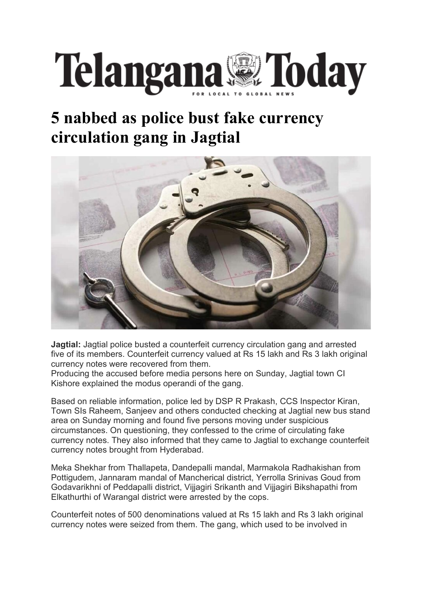

## **5 nabbed as police bust fake currency circulation gang in Jagtial**



**Jagtial:** Jagtial police busted a counterfeit currency circulation gang and arrested five of its members. Counterfeit currency valued at Rs 15 lakh and Rs 3 lakh original currency notes were recovered from them.

Producing the accused before media persons here on Sunday, Jagtial town CI Kishore explained the modus operandi of the gang.

Based on reliable information, police led by DSP R Prakash, CCS Inspector Kiran, Town SIs Raheem, Sanjeev and others conducted checking at Jagtial new bus stand area on Sunday morning and found five persons moving under suspicious circumstances. On questioning, they confessed to the crime of circulating fake currency notes. They also informed that they came to Jagtial to exchange counterfeit currency notes brought from Hyderabad.

Meka Shekhar from Thallapeta, Dandepalli mandal, Marmakola Radhakishan from Pottigudem, Jannaram mandal of Mancherical district, Yerrolla Srinivas Goud from Godavarikhni of Peddapalli district, Vijjagiri Srikanth and Vijjagiri Bikshapathi from Elkathurthi of Warangal district were arrested by the cops.

Counterfeit notes of 500 denominations valued at Rs 15 lakh and Rs 3 lakh original currency notes were seized from them. The gang, which used to be involved in